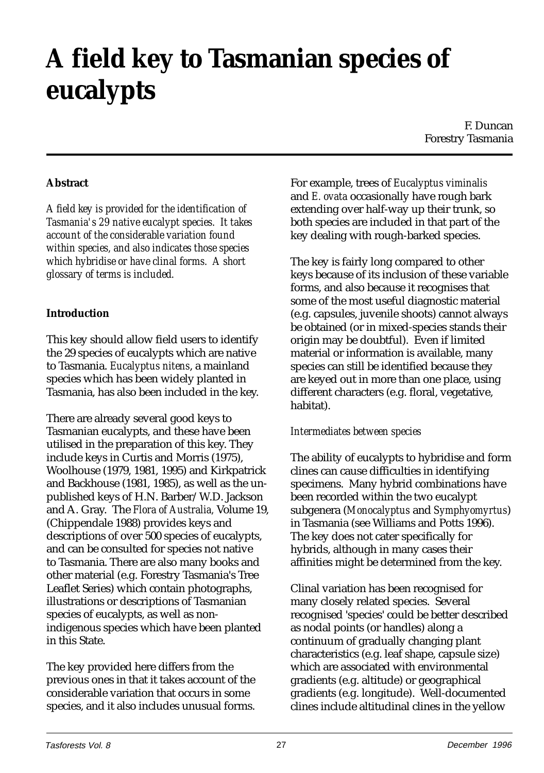# **A field key to Tasmanian species of eucalypts**

F. Duncan Forestry Tasmania

## **Abstract**

*A field key is provided for the identification of Tasmania's 29 native eucalypt species. It takes account of the considerable variation found within species, and also indicates those species which hybridise or have clinal forms. A short glossary of terms is included.*

## **Introduction**

This key should allow field users to identify the 29 species of eucalypts which are native to Tasmania. *Eucalyptus nitens*, a mainland species which has been widely planted in Tasmania, has also been included in the key.

There are already several good keys to Tasmanian eucalypts, and these have been utilised in the preparation of this key. They include keys in Curtis and Morris (1975), Woolhouse (1979, 1981, 1995) and Kirkpatrick and Backhouse (1981, 1985), as well as the unpublished keys of H.N. Barber/W.D. Jackson and A. Gray. The *Flora of Australia,* Volume 19, (Chippendale 1988) provides keys and descriptions of over 500 species of eucalypts, and can be consulted for species not native to Tasmania. There are also many books and other material (e.g. Forestry Tasmania's Tree Leaflet Series) which contain photographs, illustrations or descriptions of Tasmanian species of eucalypts, as well as nonindigenous species which have been planted in this State.

The key provided here differs from the previous ones in that it takes account of the considerable variation that occurs in some species, and it also includes unusual forms.

For example, trees of *Eucalyptus viminalis* and *E. ovata* occasionally have rough bark extending over half-way up their trunk, so both species are included in that part of the key dealing with rough-barked species.

The key is fairly long compared to other keys because of its inclusion of these variable forms, and also because it recognises that some of the most useful diagnostic material (e.g. capsules, juvenile shoots) cannot always be obtained (or in mixed-species stands their origin may be doubtful). Even if limited material or information is available, many species can still be identified because they are keyed out in more than one place, using different characters (e.g. floral, vegetative, habitat).

## *Intermediates between species*

The ability of eucalypts to hybridise and form clines can cause difficulties in identifying specimens. Many hybrid combinations have been recorded within the two eucalypt subgenera (*Monocalyptus* and *Symphyomyrtus*) in Tasmania (see Williams and Potts 1996). The key does not cater specifically for hybrids, although in many cases their affinities might be determined from the key.

Clinal variation has been recognised for many closely related species. Several recognised 'species' could be better described as nodal points (or handles) along a continuum of gradually changing plant characteristics (e.g. leaf shape, capsule size) which are associated with environmental gradients (e.g. altitude) or geographical gradients (e.g. longitude). Well-documented clines include altitudinal clines in the yellow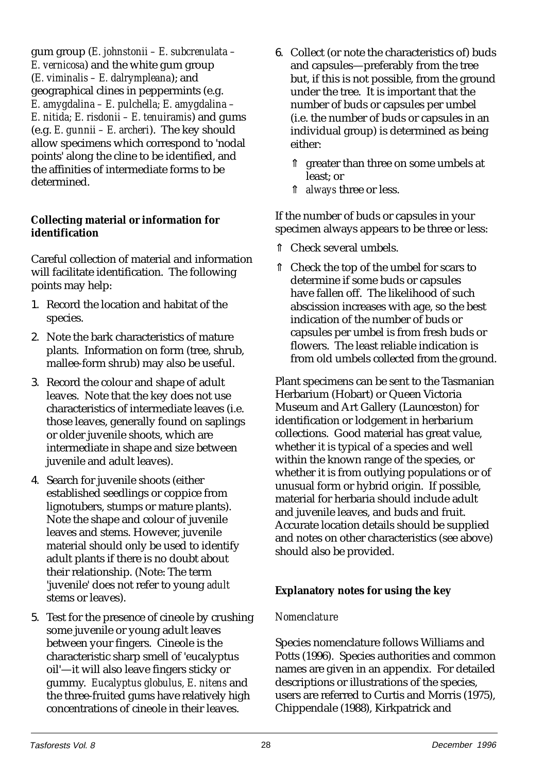gum group (*E. johnstonii – E. subcrenulata – E. vernicosa*) and the white gum group (*E. viminalis – E. dalrympleana*); and geographical clines in peppermints (e.g. *E. amygdalina – E. pulchella; E. amygdalina – E. nitida; E. risdonii – E. tenuiramis*) and gums (e.g. *E. gunnii – E. archeri*). The key should allow specimens which correspond to 'nodal points' along the cline to be identified, and the affinities of intermediate forms to be determined.

## **Collecting material or information for identification**

Careful collection of material and information will facilitate identification. The following points may help:

- 1. Record the location and habitat of the species.
- 2. Note the bark characteristics of mature plants. Information on form (tree, shrub, mallee-form shrub) may also be useful.
- 3. Record the colour and shape of adult leaves. Note that the key does not use characteristics of intermediate leaves (i.e. those leaves, generally found on saplings or older juvenile shoots, which are intermediate in shape and size between juvenile and adult leaves).
- 4. Search for juvenile shoots (either established seedlings or coppice from lignotubers, stumps or mature plants). Note the shape and colour of juvenile leaves and stems. However, juvenile material should only be used to identify adult plants if there is no doubt about their relationship. (Note: The term 'juvenile' does not refer to young *adult* stems or leaves).
- 5. Test for the presence of cineole by crushing some juvenile or young adult leaves between your fingers. Cineole is the characteristic sharp smell of 'eucalyptus oil'—it will also leave fingers sticky or gummy. *Eucalyptus globulus, E. nitens* and the three-fruited gums have relatively high concentrations of cineole in their leaves.
- 6. Collect (or note the characteristics of) buds and capsules—preferably from the tree but, if this is not possible, from the ground under the tree. It is important that the number of buds or capsules per umbel (i.e. the number of buds or capsules in an individual group) is determined as being either:
	- ⇑ greater than three on some umbels at least; or
	- ⇑ *always* three or less.

If the number of buds or capsules in your specimen always appears to be three or less:

- ⇑ Check several umbels.
- ⇑ Check the top of the umbel for scars to determine if some buds or capsules have fallen off. The likelihood of such abscission increases with age, so the best indication of the number of buds or capsules per umbel is from fresh buds or flowers. The least reliable indication is from old umbels collected from the ground.

Plant specimens can be sent to the Tasmanian Herbarium (Hobart) or Queen Victoria Museum and Art Gallery (Launceston) for identification or lodgement in herbarium collections. Good material has great value, whether it is typical of a species and well within the known range of the species, or whether it is from outlying populations or of unusual form or hybrid origin. If possible, material for herbaria should include adult and juvenile leaves, and buds and fruit. Accurate location details should be supplied and notes on other characteristics (see above) should also be provided.

# **Explanatory notes for using the key**

## *Nomenclature*

Species nomenclature follows Williams and Potts (1996). Species authorities and common names are given in an appendix. For detailed descriptions or illustrations of the species, users are referred to Curtis and Morris (1975), Chippendale (1988), Kirkpatrick and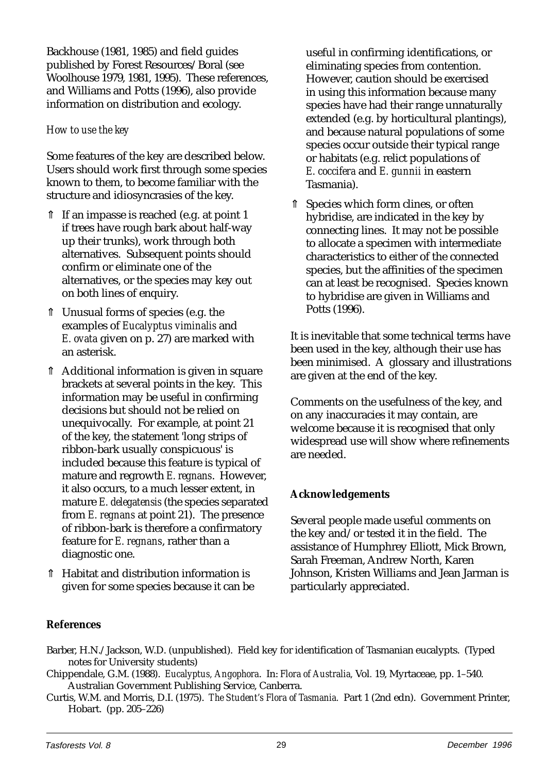Backhouse (1981, 1985) and field guides published by Forest Resources/Boral (see Woolhouse 1979, 1981, 1995). These references, and Williams and Potts (1996), also provide information on distribution and ecology.

## *How to use the key*

Some features of the key are described below. Users should work first through some species known to them, to become familiar with the structure and idiosyncrasies of the key.

- ⇑ If an impasse is reached (e.g. at point 1 if trees have rough bark about half-way up their trunks), work through both alternatives. Subsequent points should confirm or eliminate one of the alternatives, or the species may key out on both lines of enquiry.
- ⇑ Unusual forms of species (e.g. the examples of *Eucalyptus viminalis* and *E. ovata* given on p. 27) are marked with an asterisk.
- ⇑ Additional information is given in square brackets at several points in the key. This information may be useful in confirming decisions but should not be relied on unequivocally. For example, at point 21 of the key, the statement 'long strips of ribbon-bark usually conspicuous' is included because this feature is typical of mature and regrowth *E. regnans*. However, it also occurs, to a much lesser extent, in mature *E. delegatensis* (the species separated from *E. regnans* at point 21). The presence of ribbon-bark is therefore a confirmatory feature for *E. regnans*, rather than a diagnostic one.
- ⇑ Habitat and distribution information is given for some species because it can be

useful in confirming identifications, or eliminating species from contention. However, caution should be exercised in using this information because many species have had their range unnaturally extended (e.g. by horticultural plantings), and because natural populations of some species occur outside their typical range or habitats (e.g. relict populations of *E. coccifera* and *E. gunnii* in eastern Tasmania).

⇑ Species which form clines, or often hybridise, are indicated in the key by connecting lines. It may not be possible to allocate a specimen with intermediate characteristics to either of the connected species, but the affinities of the specimen can at least be recognised. Species known to hybridise are given in Williams and Potts (1996).

It is inevitable that some technical terms have been used in the key, although their use has been minimised. A glossary and illustrations are given at the end of the key.

Comments on the usefulness of the key, and on any inaccuracies it may contain, are welcome because it is recognised that only widespread use will show where refinements are needed.

# **Acknowledgements**

Several people made useful comments on the key and/or tested it in the field. The assistance of Humphrey Elliott, Mick Brown, Sarah Freeman, Andrew North, Karen Johnson, Kristen Williams and Jean Jarman is particularly appreciated.

## **References**

- Barber, H.N./Jackson, W.D. (unpublished). Field key for identification of Tasmanian eucalypts. (Typed notes for University students)
- Chippendale, G.M. (1988). *Eucalyptus, Angophora*. In: *Flora of Australia,* Vol*.* 19, Myrtaceae, pp. 1–540. Australian Government Publishing Service, Canberra.
- Curtis, W.M. and Morris, D.I. (1975). *The Student's Flora of Tasmania.* Part 1 (2nd edn). Government Printer, Hobart. (pp. 205–226)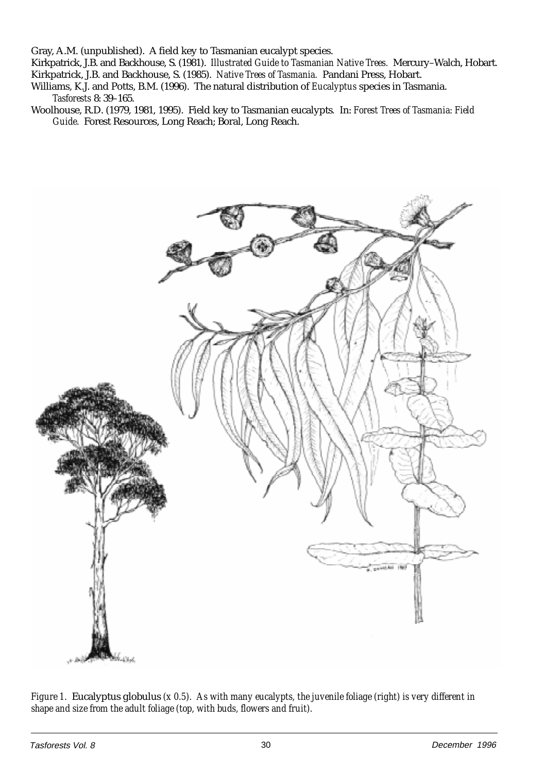Gray, A.M. (unpublished). A field key to Tasmanian eucalypt species.

Kirkpatrick, J.B. and Backhouse, S. (1981). *Illustrated Guide to Tasmanian Native Trees.* Mercury–Walch, Hobart. Kirkpatrick, J.B. and Backhouse, S. (1985). *Native Trees of Tasmania.* Pandani Press, Hobart.

- Williams, K.J. and Potts, B.M. (1996). The natural distribution of *Eucalyptus* species in Tasmania. *Tasforests* 8: 39–165.
- Woolhouse, R.D. (1979, 1981, 1995). Field key to Tasmanian eucalypts*.* In: *Forest Trees of Tasmania: Field Guide.* Forest Resources, Long Reach; Boral, Long Reach.



*Figure 1.* Eucalyptus globulus *(x 0.5). As with many eucalypts, the juvenile foliage (right) is very different in shape and size from the adult foliage (top, with buds, flowers and fruit).*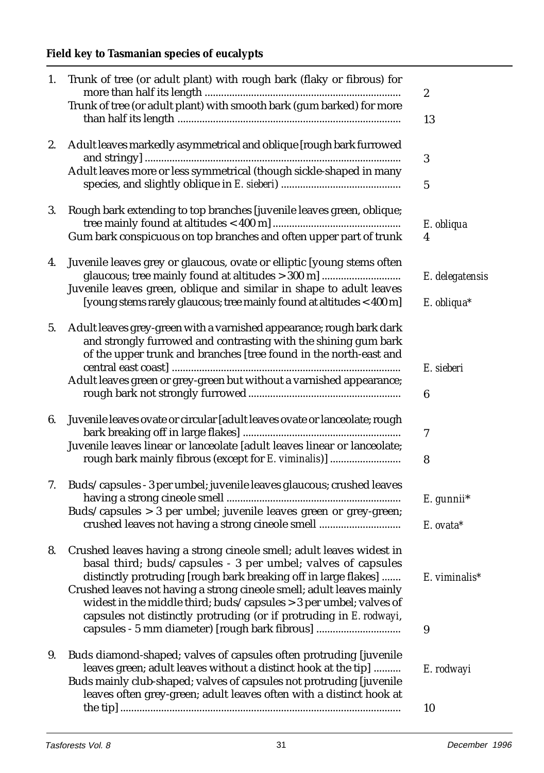# **Field key to Tasmanian species of eucalypts**

| 1. | Trunk of tree (or adult plant) with rough bark (flaky or fibrous) for                                                                                                                                              | $\boldsymbol{2}$            |
|----|--------------------------------------------------------------------------------------------------------------------------------------------------------------------------------------------------------------------|-----------------------------|
|    | Trunk of tree (or adult plant) with smooth bark (gum barked) for more                                                                                                                                              | 13                          |
|    |                                                                                                                                                                                                                    |                             |
| 2. | Adult leaves markedly asymmetrical and oblique [rough bark furrowed                                                                                                                                                | 3                           |
|    | Adult leaves more or less symmetrical (though sickle-shaped in many                                                                                                                                                | 5                           |
| 3. | Rough bark extending to top branches [juvenile leaves green, oblique;                                                                                                                                              |                             |
|    | Gum bark conspicuous on top branches and often upper part of trunk                                                                                                                                                 | E. obliqua<br>4             |
| 4. | Juvenile leaves grey or glaucous, ovate or elliptic [young stems often<br>glaucous; tree mainly found at altitudes > 300 m]                                                                                        |                             |
|    | Juvenile leaves green, oblique and similar in shape to adult leaves                                                                                                                                                | E. delegatensis             |
|    | [young stems rarely glaucous; tree mainly found at altitudes < 400 m]                                                                                                                                              | E. obliqua*                 |
| 5. | Adult leaves grey-green with a varnished appearance; rough bark dark<br>and strongly furrowed and contrasting with the shining gum bark<br>of the upper trunk and branches [tree found in the north-east and       |                             |
|    |                                                                                                                                                                                                                    | E. sieberi                  |
|    | Adult leaves green or grey-green but without a varnished appearance;                                                                                                                                               | 6                           |
| 6. | Juvenile leaves ovate or circular [adult leaves ovate or lanceolate; rough                                                                                                                                         | 7                           |
|    | Juvenile leaves linear or lanceolate [adult leaves linear or lanceolate;                                                                                                                                           |                             |
|    | rough bark mainly fibrous (except for E. viminalis)]                                                                                                                                                               | 8                           |
| 7. | Buds/capsules - 3 per umbel; juvenile leaves glaucous; crushed leaves                                                                                                                                              | E. gunnii*                  |
|    | Buds/capsules > 3 per umbel; juvenile leaves green or grey-green;                                                                                                                                                  |                             |
|    | crushed leaves not having a strong cineole smell                                                                                                                                                                   | E. ovata*                   |
|    | 8. Crushed leaves having a strong cineole smell; adult leaves widest in<br>basal third; buds/capsules - 3 per umbel; valves of capsules<br>distinctly protruding [rough bark breaking off in large flakes]         | $E.$ viminalis <sup>*</sup> |
|    | Crushed leaves not having a strong cineole smell; adult leaves mainly<br>widest in the middle third; buds/capsules > 3 per umbel; valves of<br>capsules not distinctly protruding (or if protruding in E. rodwayi, |                             |
|    | capsules - 5 mm diameter) [rough bark fibrous]                                                                                                                                                                     | 9                           |
| 9. | Buds diamond-shaped; valves of capsules often protruding [juvenile                                                                                                                                                 |                             |
|    | leaves green; adult leaves without a distinct hook at the tip]<br>Buds mainly club-shaped; valves of capsules not protruding [juvenile<br>leaves often grey-green; adult leaves often with a distinct hook at      | E. rodwayi                  |
|    |                                                                                                                                                                                                                    | 10                          |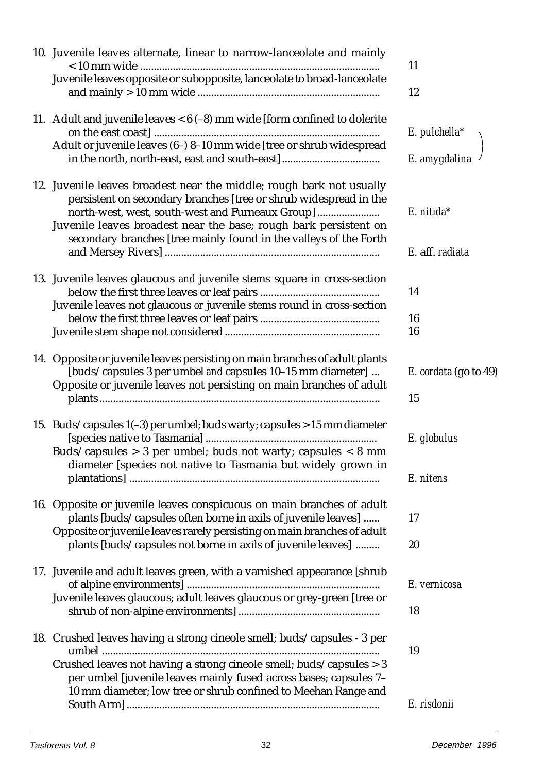| 10. Juvenile leaves alternate, linear to narrow-lanceolate and mainly                                                                                                                                                                                                                                                                  | 11                               |
|----------------------------------------------------------------------------------------------------------------------------------------------------------------------------------------------------------------------------------------------------------------------------------------------------------------------------------------|----------------------------------|
| Juvenile leaves opposite or subopposite, lanceolate to broad-lanceolate                                                                                                                                                                                                                                                                | 12                               |
| 11. Adult and juvenile leaves $<$ 6 (-8) mm wide [form confined to dolerite<br>Adult or juvenile leaves (6-) 8-10 mm wide [tree or shrub widespread                                                                                                                                                                                    | $E.$ pulchella*<br>E. amygdalina |
| 12. Juvenile leaves broadest near the middle; rough bark not usually<br>persistent on secondary branches [tree or shrub widespread in the<br>north-west, west, south-west and Furneaux Group]<br>Juvenile leaves broadest near the base; rough bark persistent on<br>secondary branches [tree mainly found in the valleys of the Forth | $E.$ nitida*<br>E. aff. radiata  |
| 13. Juvenile leaves glaucous and juvenile stems square in cross-section<br>Juvenile leaves not glaucous or juvenile stems round in cross-section                                                                                                                                                                                       | 14<br>16<br>16                   |
| 14. Opposite or juvenile leaves persisting on main branches of adult plants<br>[buds/capsules 3 per umbel and capsules 10-15 mm diameter]<br>Opposite or juvenile leaves not persisting on main branches of adult                                                                                                                      | E. cordata (go to 49)<br>15      |
| 15. Buds/capsules 1(-3) per umbel; buds warty; capsules > 15 mm diameter<br>Buds/capsules $> 3$ per umbel; buds not warty; capsules $< 8$ mm<br>diameter [species not native to Tasmania but widely grown in                                                                                                                           | E. globulus<br>E. nitens         |
| 16. Opposite or juvenile leaves conspicuous on main branches of adult<br>plants [buds/capsules often borne in axils of juvenile leaves]<br>Opposite or juvenile leaves rarely persisting on main branches of adult<br>plants [buds/capsules not borne in axils of juvenile leaves]                                                     | 17<br>20                         |
| 17. Juvenile and adult leaves green, with a varnished appearance [shrub<br>Juvenile leaves glaucous; adult leaves glaucous or grey-green [tree or                                                                                                                                                                                      | E. vernicosa<br>18               |
| 18. Crushed leaves having a strong cineole smell; buds/capsules - 3 per<br>Crushed leaves not having a strong cineole smell; buds/capsules > 3<br>per umbel [juvenile leaves mainly fused across bases; capsules 7-<br>10 mm diameter; low tree or shrub confined to Meehan Range and                                                  | 19                               |
|                                                                                                                                                                                                                                                                                                                                        | E. risdonii                      |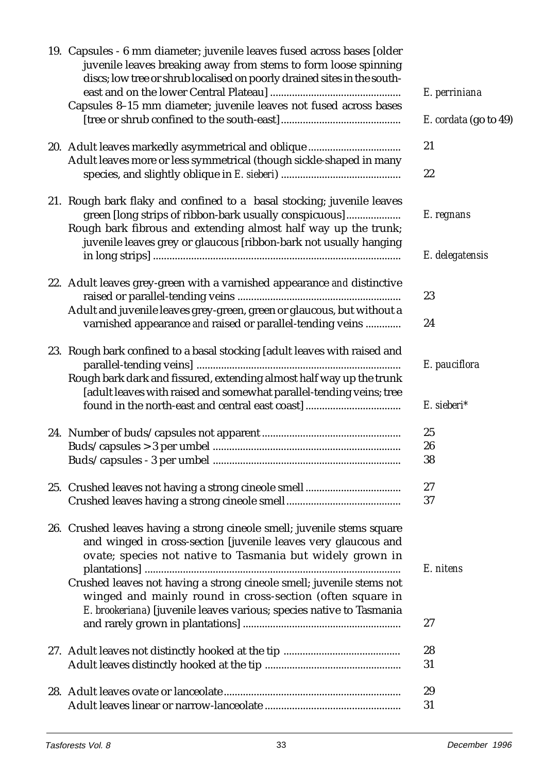| 19. Capsules - 6 mm diameter; juvenile leaves fused across bases [older<br>juvenile leaves breaking away from stems to form loose spinning<br>discs; low tree or shrub localised on poorly drained sites in the south- |                       |
|------------------------------------------------------------------------------------------------------------------------------------------------------------------------------------------------------------------------|-----------------------|
| Capsules 8-15 mm diameter; juvenile leaves not fused across bases                                                                                                                                                      | E. perriniana         |
|                                                                                                                                                                                                                        | E. cordata (go to 49) |
| Adult leaves more or less symmetrical (though sickle-shaped in many                                                                                                                                                    | 21                    |
|                                                                                                                                                                                                                        | 22                    |
| 21. Rough bark flaky and confined to a basal stocking; juvenile leaves                                                                                                                                                 |                       |
| green [long strips of ribbon-bark usually conspicuous]<br>Rough bark fibrous and extending almost half way up the trunk;<br>juvenile leaves grey or glaucous [ribbon-bark not usually hanging                          | E. regnans            |
|                                                                                                                                                                                                                        | E. delegatensis       |
| 22. Adult leaves grey-green with a varnished appearance and distinctive                                                                                                                                                | 23                    |
| Adult and juvenile leaves grey-green, green or glaucous, but without a<br>varnished appearance and raised or parallel-tending veins                                                                                    | 24                    |
| 23. Rough bark confined to a basal stocking [adult leaves with raised and                                                                                                                                              | E. pauciflora         |
| Rough bark dark and fissured, extending almost half way up the trunk<br>[adult leaves with raised and somewhat parallel-tending veins; tree<br>found in the north-east and central east coast]                         | E. sieberi*           |
|                                                                                                                                                                                                                        |                       |
|                                                                                                                                                                                                                        | 25<br>26              |
|                                                                                                                                                                                                                        | 38                    |
|                                                                                                                                                                                                                        |                       |
|                                                                                                                                                                                                                        | 27                    |
|                                                                                                                                                                                                                        | 37                    |
| 26. Crushed leaves having a strong cineole smell; juvenile stems square<br>and winged in cross-section [juvenile leaves very glaucous and<br>ovate; species not native to Tasmania but widely grown in                 |                       |
| Crushed leaves not having a strong cineole smell; juvenile stems not                                                                                                                                                   | E. nitens             |
| winged and mainly round in cross-section (often square in<br>E. brookeriana) [juvenile leaves various; species native to Tasmania                                                                                      |                       |
|                                                                                                                                                                                                                        | 27                    |
|                                                                                                                                                                                                                        | 28<br>31              |
|                                                                                                                                                                                                                        |                       |
|                                                                                                                                                                                                                        | 29                    |
|                                                                                                                                                                                                                        | 31                    |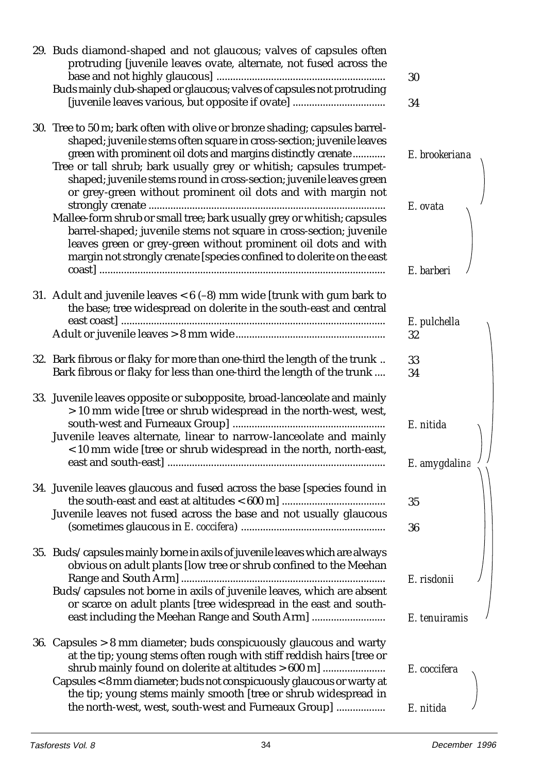| 29. Buds diamond-shaped and not glaucous; valves of capsules often<br>protruding [juvenile leaves ovate, alternate, not fused across the<br>Buds mainly club-shaped or glaucous; valves of capsules not protruding                                                                                                                                                                                                                  | 30             |
|-------------------------------------------------------------------------------------------------------------------------------------------------------------------------------------------------------------------------------------------------------------------------------------------------------------------------------------------------------------------------------------------------------------------------------------|----------------|
|                                                                                                                                                                                                                                                                                                                                                                                                                                     | 34             |
| 30. Tree to 50 m; bark often with olive or bronze shading; capsules barrel-<br>shaped; juvenile stems often square in cross-section; juvenile leaves<br>green with prominent oil dots and margins distinctly crenate<br>Tree or tall shrub; bark usually grey or whitish; capsules trumpet-<br>shaped; juvenile stems round in cross-section; juvenile leaves green<br>or grey-green without prominent oil dots and with margin not | E. brookeriana |
| Mallee-form shrub or small tree; bark usually grey or whitish; capsules<br>barrel-shaped; juvenile stems not square in cross-section; juvenile<br>leaves green or grey-green without prominent oil dots and with<br>margin not strongly crenate [species confined to dolerite on the east                                                                                                                                           | E. ovata       |
|                                                                                                                                                                                                                                                                                                                                                                                                                                     | E. barberi     |
| 31. Adult and juvenile leaves $<$ 6 (-8) mm wide [trunk with gum bark to<br>the base; tree widespread on dolerite in the south-east and central                                                                                                                                                                                                                                                                                     | E. pulchella   |
|                                                                                                                                                                                                                                                                                                                                                                                                                                     | 32             |
| 32. Bark fibrous or flaky for more than one-third the length of the trunk<br>Bark fibrous or flaky for less than one-third the length of the trunk                                                                                                                                                                                                                                                                                  | 33<br>34       |
| 33. Juvenile leaves opposite or subopposite, broad-lanceolate and mainly<br>> 10 mm wide [tree or shrub widespread in the north-west, west,<br>Juvenile leaves alternate, linear to narrow-lanceolate and mainly<br>< 10 mm wide [tree or shrub widespread in the north, north-east,                                                                                                                                                | E. nitida      |
|                                                                                                                                                                                                                                                                                                                                                                                                                                     | E. amygdalina  |
| 34. Juvenile leaves glaucous and fused across the base [species found in                                                                                                                                                                                                                                                                                                                                                            | 35             |
| Juvenile leaves not fused across the base and not usually glaucous                                                                                                                                                                                                                                                                                                                                                                  | 36             |
| 35. Buds/capsules mainly borne in axils of juvenile leaves which are always<br>obvious on adult plants [low tree or shrub confined to the Meehan                                                                                                                                                                                                                                                                                    |                |
| Buds/capsules not borne in axils of juvenile leaves, which are absent<br>or scarce on adult plants [tree widespread in the east and south-                                                                                                                                                                                                                                                                                          | E. risdonii    |
| east including the Meehan Range and South Arm]                                                                                                                                                                                                                                                                                                                                                                                      | E. tenuiramis  |
| 36. Capsules > 8 mm diameter; buds conspicuously glaucous and warty<br>at the tip; young stems often rough with stiff reddish hairs [tree or<br>shrub mainly found on dolerite at altitudes > 600 m]                                                                                                                                                                                                                                | E. coccifera   |
| Capsules < 8 mm diameter; buds not conspicuously glaucous or warty at<br>the tip; young stems mainly smooth [tree or shrub widespread in                                                                                                                                                                                                                                                                                            |                |
| the north-west, west, south-west and Furneaux Group]                                                                                                                                                                                                                                                                                                                                                                                | E. nitida      |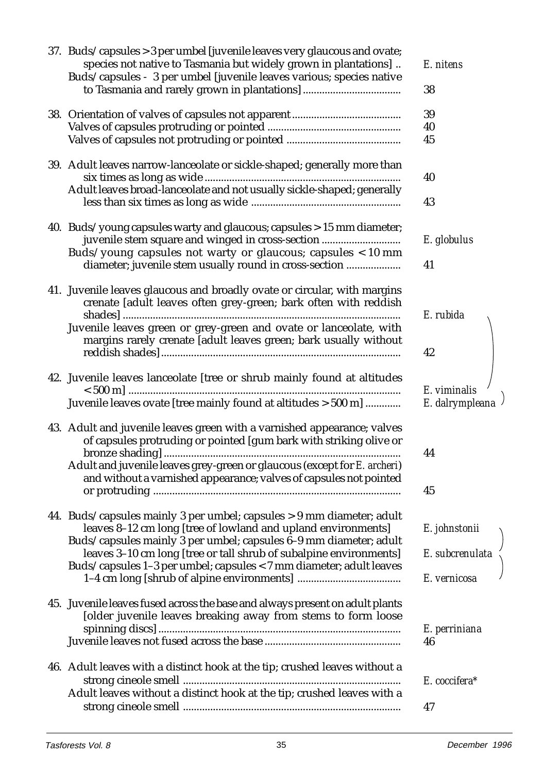| 37. Buds/capsules > 3 per umbel [juvenile leaves very glaucous and ovate;                                                                      |                 |
|------------------------------------------------------------------------------------------------------------------------------------------------|-----------------|
| species not native to Tasmania but widely grown in plantations]<br>Buds/capsules - 3 per umbel [juvenile leaves various; species native        | E. nitens       |
|                                                                                                                                                | 38              |
|                                                                                                                                                | 39              |
|                                                                                                                                                | 40              |
|                                                                                                                                                | 45              |
| 39. Adult leaves narrow-lanceolate or sickle-shaped; generally more than                                                                       |                 |
|                                                                                                                                                | 40              |
| Adult leaves broad-lanceolate and not usually sickle-shaped; generally                                                                         |                 |
|                                                                                                                                                | 43              |
| 40. Buds/young capsules warty and glaucous; capsules > 15 mm diameter;                                                                         |                 |
| juvenile stem square and winged in cross-section                                                                                               | E. globulus     |
| Buds/young capsules not warty or glaucous; capsules < 10 mm                                                                                    |                 |
| diameter; juvenile stem usually round in cross-section                                                                                         | 41              |
| 41. Juvenile leaves glaucous and broadly ovate or circular, with margins                                                                       |                 |
| crenate [adult leaves often grey-green; bark often with reddish                                                                                |                 |
|                                                                                                                                                | E. rubida       |
| Juvenile leaves green or grey-green and ovate or lanceolate, with<br>margins rarely crenate [adult leaves green; bark usually without          |                 |
|                                                                                                                                                | 42              |
|                                                                                                                                                |                 |
| 42. Juvenile leaves lanceolate [tree or shrub mainly found at altitudes                                                                        |                 |
|                                                                                                                                                | E. viminalis    |
| Juvenile leaves ovate [tree mainly found at altitudes > 500 m]                                                                                 | E. dalrympleana |
| 43. Adult and juvenile leaves green with a varnished appearance; valves                                                                        |                 |
| of capsules protruding or pointed [gum bark with striking olive or                                                                             |                 |
|                                                                                                                                                | 44              |
| Adult and juvenile leaves grey-green or glaucous (except for E. archeri)<br>and without a varnished appearance; valves of capsules not pointed |                 |
|                                                                                                                                                | 45              |
|                                                                                                                                                |                 |
| 44. Buds/capsules mainly 3 per umbel; capsules > 9 mm diameter; adult                                                                          |                 |
| leaves 8-12 cm long [tree of lowland and upland environments]                                                                                  | E. johnstonii   |
| Buds/capsules mainly 3 per umbel; capsules 6-9 mm diameter; adult<br>leaves 3-10 cm long [tree or tall shrub of subalpine environments]        | E. subcrenulata |
| Buds/capsules 1-3 per umbel; capsules < 7 mm diameter; adult leaves                                                                            |                 |
|                                                                                                                                                | E. vernicosa    |
|                                                                                                                                                |                 |
| 45. Juvenile leaves fused across the base and always present on adult plants<br>[older juvenile leaves breaking away from stems to form loose  |                 |
|                                                                                                                                                | E. perriniana   |
|                                                                                                                                                | 46              |
| 46. Adult leaves with a distinct hook at the tip; crushed leaves without a                                                                     |                 |
|                                                                                                                                                | E. coccifera*   |
| Adult leaves without a distinct hook at the tip; crushed leaves with a                                                                         |                 |
|                                                                                                                                                | 47              |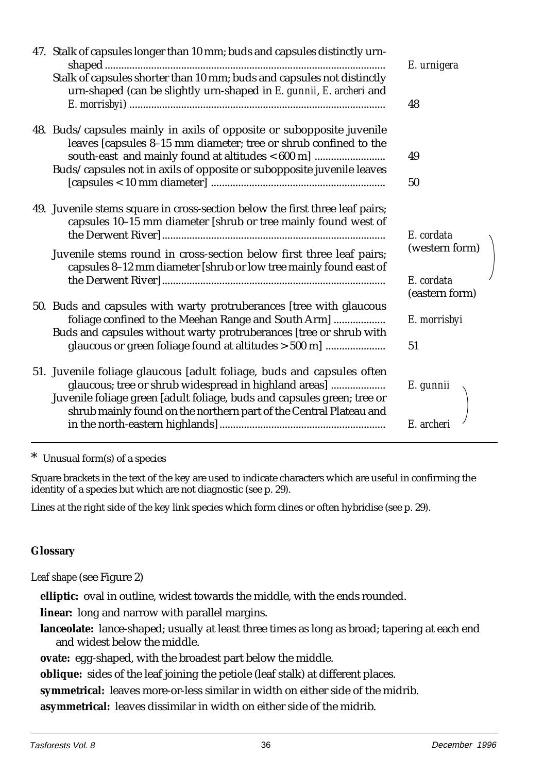| 47. Stalk of capsules longer than 10 mm; buds and capsules distinctly urn-<br>Stalk of capsules shorter than 10 mm; buds and capsules not distinctly<br>urn-shaped (can be slightly urn-shaped in E. gunnii, E. archeri and                                                                | E. urnigera<br>48                                            |  |
|--------------------------------------------------------------------------------------------------------------------------------------------------------------------------------------------------------------------------------------------------------------------------------------------|--------------------------------------------------------------|--|
| 48. Buds/capsules mainly in axils of opposite or subopposite juvenile<br>leaves [capsules 8-15 mm diameter; tree or shrub confined to the<br>south-east and mainly found at altitudes < 600 m]<br>Buds/capsules not in axils of opposite or subopposite juvenile leaves                    | 49<br>50                                                     |  |
| 49. Juvenile stems square in cross-section below the first three leaf pairs;<br>capsules 10-15 mm diameter [shrub or tree mainly found west of<br>Juvenile stems round in cross-section below first three leaf pairs;<br>capsules 8-12 mm diameter [shrub or low tree mainly found east of | E. cordata<br>(western form)<br>E. cordata<br>(eastern form) |  |
| 50. Buds and capsules with warty protruberances [tree with glaucous<br>foliage confined to the Meehan Range and South Arm]<br>Buds and capsules without warty protruberances [tree or shrub with<br>glaucous or green foliage found at altitudes > 500 m]                                  | E. morrisbyi<br>51                                           |  |
| 51. Juvenile foliage glaucous [adult foliage, buds and capsules often<br>glaucous; tree or shrub widespread in highland areas]<br>Juvenile foliage green [adult foliage, buds and capsules green; tree or<br>shrub mainly found on the northern part of the Central Plateau and            | E. gunnii<br>E. archeri                                      |  |

\* Unusual form(s) of a species

Square brackets in the text of the key are used to indicate characters which are useful in confirming the identity of a species but which are not diagnostic (see p. 29).

Lines at the right side of the key link species which form clines or often hybridise (see p. 29).

## **Glossary**

*Leaf shape* (see Figure 2)

**elliptic:** oval in outline, widest towards the middle, with the ends rounded.

**linear:** long and narrow with parallel margins.

**lanceolate:** lance-shaped; usually at least three times as long as broad; tapering at each end and widest below the middle.

**ovate:** egg-shaped, with the broadest part below the middle.

**oblique:** sides of the leaf joining the petiole (leaf stalk) at different places.

**symmetrical:** leaves more-or-less similar in width on either side of the midrib.

**asymmetrical:** leaves dissimilar in width on either side of the midrib.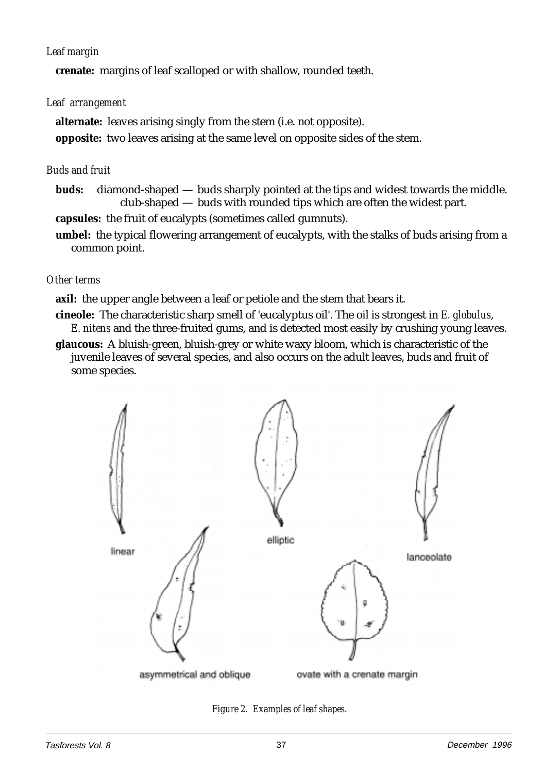## *Leaf margin*

**crenate:** margins of leaf scalloped or with shallow, rounded teeth.

## *Leaf arrangement*

**alternate:** leaves arising singly from the stem (i.e. not opposite). **opposite:** two leaves arising at the same level on opposite sides of the stem.

## *Buds and fruit*

**buds:** diamond-shaped — buds sharply pointed at the tips and widest towards the middle. club-shaped — buds with rounded tips which are often the widest part.

**capsules:** the fruit of eucalypts (sometimes called gumnuts).

**umbel:** the typical flowering arrangement of eucalypts, with the stalks of buds arising from a common point.

## *Other terms*

**axil:** the upper angle between a leaf or petiole and the stem that bears it.

**cineole:** The characteristic sharp smell of 'eucalyptus oil'. The oil is strongest in *E. globulus*, *E. nitens* and the three-fruited gums, and is detected most easily by crushing young leaves.

**glaucous:** A bluish-green, bluish-grey or white waxy bloom, which is characteristic of the juvenile leaves of several species, and also occurs on the adult leaves, buds and fruit of some species.